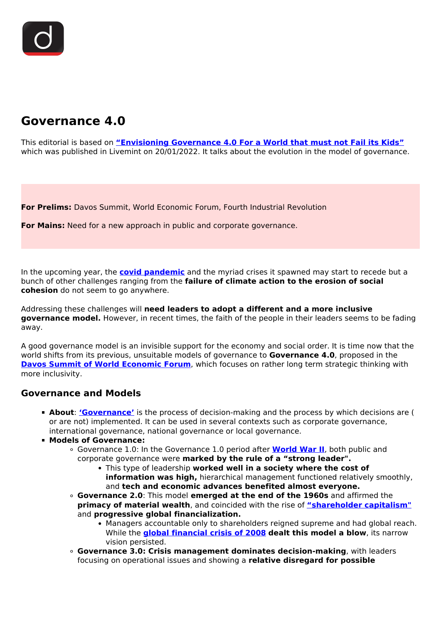

# **Governance 4.0**

This editorial is based on **["Envisioning Governance 4.0 For a World that must not Fail its Kids"](https://www.livemint.com/opinion/online-views/envisioning-governance-4-0-for-a-world-that-must-not-fail-its-kids-11642609605705.html)** which was published in Livemint on 20/01/2022. It talks about the evolution in the model of governance.

**For Prelims:** Davos Summit, World Economic Forum, Fourth Industrial Revolution

**For Mains:** Need for a new approach in public and corporate governance.

In the upcoming year, the **[covid pandemic](/loksabha-rajyasabha-discussions/the-big-picture-india-s-covid-pandemic-management)** and the myriad crises it spawned may start to recede but a bunch of other challenges ranging from the **failure of climate action to the erosion of social cohesion** do not seem to go anywhere.

Addressing these challenges will **need leaders to adopt a different and a more inclusive governance model.** However, in recent times, the faith of the people in their leaders seems to be fading away.

A good governance model is an invisible support for the economy and social order. It is time now that the world shifts from its previous, unsuitable models of governance to **Governance 4.0**, proposed in the **[Davos Summit of World Economic Forum](/daily-updates/daily-news-analysis/davos-summit-world-economic-forum)**, which focuses on rather long term strategic thinking with more inclusivity.

### **Governance and Models**

- **About**: **['Governance'](/to-the-points/paper4/good-governance-2)** is the process of decision-making and the process by which decisions are ( or are not) implemented. It can be used in several contexts such as corporate governance, international governance, national governance or local governance.
- **Models of Governance:**
	- Governance 1.0: In the Governance 1.0 period after **[World War II](/to-the-points/paper1/world-war-ii)**, both public and corporate governance were **marked by the rule of a "strong leader".**
		- This type of leadership **worked well in a society where the cost of information was high,** hierarchical management functioned relatively smoothly, and **tech and economic advances benefited almost everyone.**
	- **Governance 2.0**: This model **emerged at the end of the 1960s** and affirmed the **primacy of material wealth**, and coincided with the rise of **["shareholder capitalism"](/daily-updates/daily-news-editorials/for-a-capitalism-less-stigmatised)** and **progressive global financialization.**
		- Managers accountable only to shareholders reigned supreme and had global reach. While the **[global financial crisis of 2008](/daily-updates/daily-news-editorials/understanding-financial=-crisis-of-2007-08) dealt this model a blow**, its narrow vision persisted.
	- **Governance 3.0: Crisis management dominates decision-making**, with leaders focusing on operational issues and showing a **relative disregard for possible**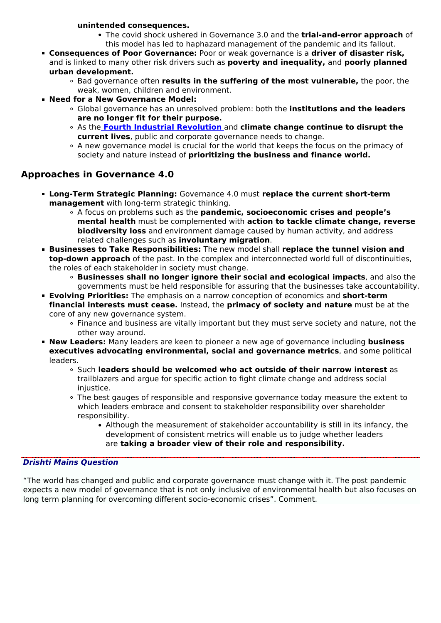#### **unintended consequences.**

- The covid shock ushered in Governance 3.0 and the **trial-and-error approach** of this model has led to haphazard management of the pandemic and its fallout.
- **Consequences of Poor Governance:** Poor or weak governance is a **driver of disaster risk,** and is linked to many other risk drivers such as **poverty and inequality,** and **poorly planned urban development.**
	- Bad governance often **results in the suffering of the most vulnerable,** the poor, the weak, women, children and environment.
- **Need for a New Governance Model:**
	- Global governance has an unresolved problem: both the **institutions and the leaders are no longer fit for their purpose.**
	- As the **[Fourth Industrial Revolution](/loksabha-rajyasabha-discussions/in-depth-industrial-revolution-4-0)** [a](/loksabha-rajyasabha-discussions/in-depth-industrial-revolution-4-0)nd **climate change continue to disrupt the current lives**, public and corporate governance needs to change.
	- A new governance model is crucial for the world that keeps the focus on the primacy of society and nature instead of **prioritizing the business and finance world.**

## **Approaches in Governance 4.0**

- **Long-Term Strategic Planning:** Governance 4.0 must **replace the current short-term management** with long-term strategic thinking.
	- A focus on problems such as the **pandemic, socioeconomic crises and people's mental health** must be complemented with **action to tackle climate change, reverse biodiversity loss** and environment damage caused by human activity, and address related challenges such as **involuntary migration**.
- **Businesses to Take Responsibilities:** The new model shall **replace the tunnel vision and top-down approach** of the past. In the complex and interconnected world full of discontinuities, the roles of each stakeholder in society must change.
	- **Businesses shall no longer ignore their social and ecological impacts**, and also the governments must be held responsible for assuring that the businesses take accountability.
- **Evolving Priorities:** The emphasis on a narrow conception of economics and **short-term financial interests must cease.** Instead, the **primacy of society and nature** must be at the core of any new governance system.
	- Finance and business are vitally important but they must serve society and nature, not the other way around.
- **New Leaders:** Many leaders are keen to pioneer a new age of governance including **business executives advocating environmental, social and governance metrics**, and some political leaders.
	- Such **leaders should be welcomed who act outside of their narrow interest** as trailblazers and argue for specific action to fight climate change and address social injustice.
	- The best gauges of responsible and responsive governance today measure the extent to which leaders embrace and consent to stakeholder responsibility over shareholder responsibility.
		- Although the measurement of stakeholder accountability is still in its infancy, the development of consistent metrics will enable us to judge whether leaders are **taking a broader view of their role and responsibility.**

#### *Drishti Mains Question*

"The world has changed and public and corporate governance must change with it. The post pandemic expects a new model of governance that is not only inclusive of environmental health but also focuses on long term planning for overcoming different socio-economic crises". Comment.